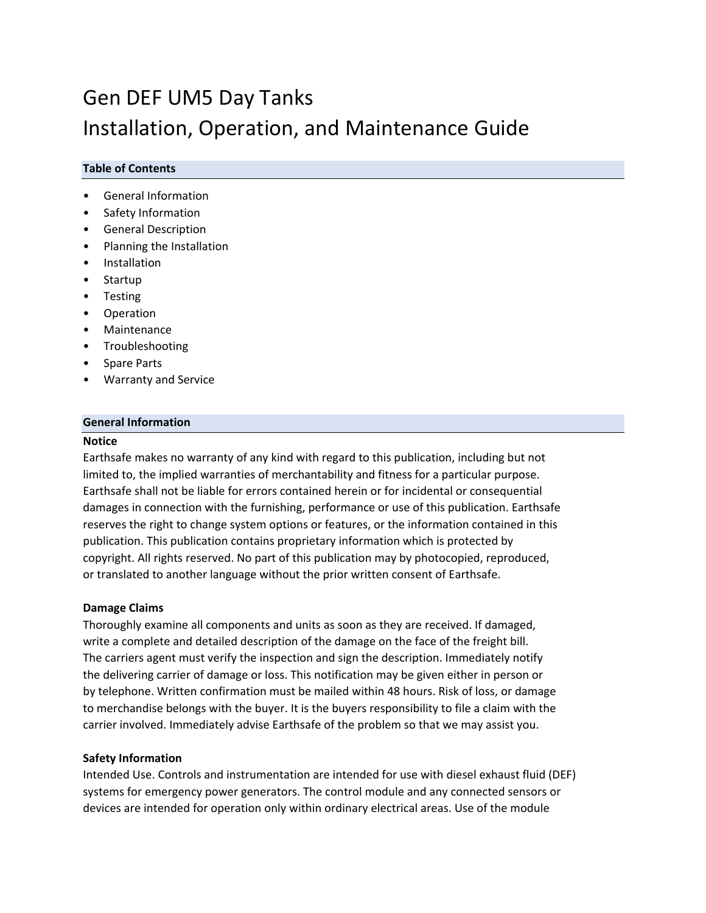# Gen DEF UM5 Day Tanks Installation, Operation, and Maintenance Guide

## **Table of Contents**

- General Information
- Safety Information
- General Description
- Planning the Installation
- **Installation**
- **Startup**
- Testing
- **Operation**
- Maintenance
- Troubleshooting
- Spare Parts
- Warranty and Service

## **General Information**

#### **Notice**

Earthsafe makes no warranty of any kind with regard to this publication, including but not limited to, the implied warranties of merchantability and fitness for a particular purpose. Earthsafe shall not be liable for errors contained herein or for incidental or consequential damages in connection with the furnishing, performance or use of this publication. Earthsafe reserves the right to change system options or features, or the information contained in this publication. This publication contains proprietary information which is protected by copyright. All rights reserved. No part of this publication may by photocopied, reproduced, or translated to another language without the prior written consent of Earthsafe.

#### **Damage Claims**

Thoroughly examine all components and units as soon as they are received. If damaged, write a complete and detailed description of the damage on the face of the freight bill. The carriers agent must verify the inspection and sign the description. Immediately notify the delivering carrier of damage or loss. This notification may be given either in person or by telephone. Written confirmation must be mailed within 48 hours. Risk of loss, or damage to merchandise belongs with the buyer. It is the buyers responsibility to file a claim with the carrier involved. Immediately advise Earthsafe of the problem so that we may assist you.

#### **Safety Information**

Intended Use. Controls and instrumentation are intended for use with diesel exhaust fluid (DEF) systems for emergency power generators. The control module and any connected sensors or devices are intended for operation only within ordinary electrical areas. Use of the module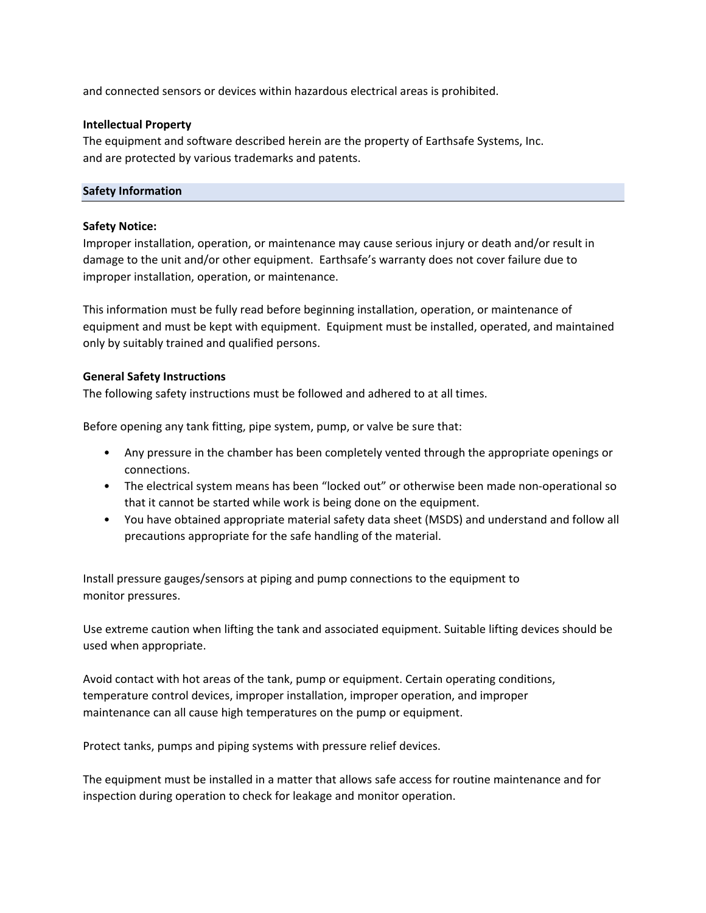and connected sensors or devices within hazardous electrical areas is prohibited.

## **Intellectual Property**

The equipment and software described herein are the property of Earthsafe Systems, Inc. and are protected by various trademarks and patents.

## **Safety Information**

## **Safety Notice:**

Improper installation, operation, or maintenance may cause serious injury or death and/or result in damage to the unit and/or other equipment. Earthsafe's warranty does not cover failure due to improper installation, operation, or maintenance.

This information must be fully read before beginning installation, operation, or maintenance of equipment and must be kept with equipment. Equipment must be installed, operated, and maintained only by suitably trained and qualified persons.

## **General Safety Instructions**

The following safety instructions must be followed and adhered to at all times.

Before opening any tank fitting, pipe system, pump, or valve be sure that:

- Any pressure in the chamber has been completely vented through the appropriate openings or connections.
- The electrical system means has been "locked out" or otherwise been made non-operational so that it cannot be started while work is being done on the equipment.
- You have obtained appropriate material safety data sheet (MSDS) and understand and follow all precautions appropriate for the safe handling of the material.

Install pressure gauges/sensors at piping and pump connections to the equipment to monitor pressures.

Use extreme caution when lifting the tank and associated equipment. Suitable lifting devices should be used when appropriate.

Avoid contact with hot areas of the tank, pump or equipment. Certain operating conditions, temperature control devices, improper installation, improper operation, and improper maintenance can all cause high temperatures on the pump or equipment.

Protect tanks, pumps and piping systems with pressure relief devices.

The equipment must be installed in a matter that allows safe access for routine maintenance and for inspection during operation to check for leakage and monitor operation.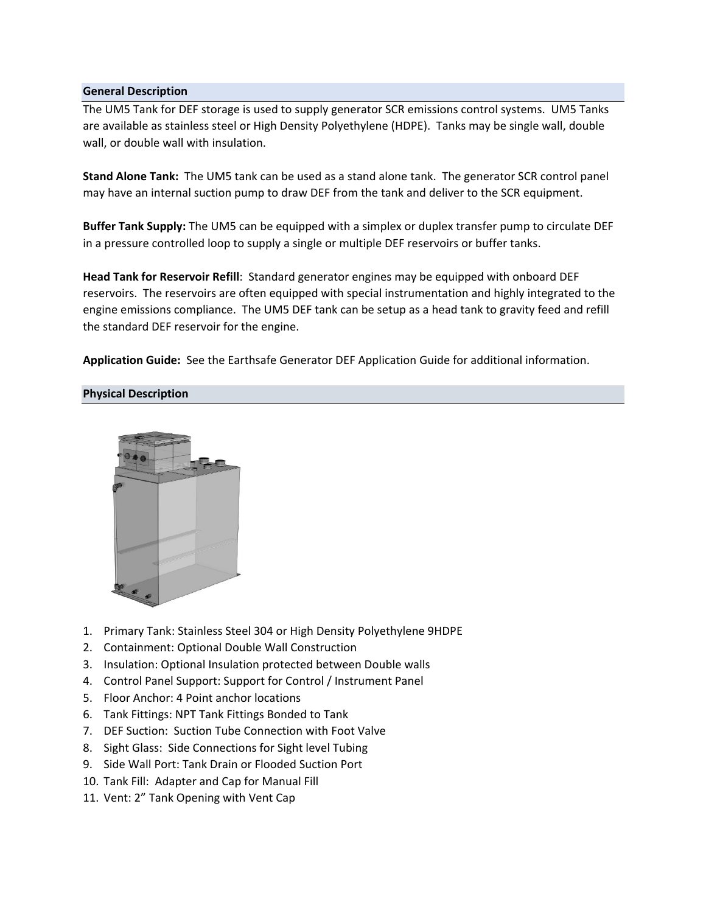## **General Description**

The UM5 Tank for DEF storage is used to supply generator SCR emissions control systems. UM5 Tanks are available as stainless steel or High Density Polyethylene (HDPE). Tanks may be single wall, double wall, or double wall with insulation.

**Stand Alone Tank:** The UM5 tank can be used as a stand alone tank. The generator SCR control panel may have an internal suction pump to draw DEF from the tank and deliver to the SCR equipment.

**Buffer Tank Supply:** The UM5 can be equipped with a simplex or duplex transfer pump to circulate DEF in a pressure controlled loop to supply a single or multiple DEF reservoirs or buffer tanks.

**Head Tank for Reservoir Refill**: Standard generator engines may be equipped with onboard DEF reservoirs. The reservoirs are often equipped with special instrumentation and highly integrated to the engine emissions compliance. The UM5 DEF tank can be setup as a head tank to gravity feed and refill the standard DEF reservoir for the engine.

**Application Guide:** See the Earthsafe Generator DEF Application Guide for additional information.

## **Physical Description**



- 1. Primary Tank: Stainless Steel 304 or High Density Polyethylene 9HDPE
- 2. Containment: Optional Double Wall Construction
- 3. Insulation: Optional Insulation protected between Double walls
- 4. Control Panel Support: Support for Control / Instrument Panel
- 5. Floor Anchor: 4 Point anchor locations
- 6. Tank Fittings: NPT Tank Fittings Bonded to Tank
- 7. DEF Suction: Suction Tube Connection with Foot Valve
- 8. Sight Glass: Side Connections for Sight level Tubing
- 9. Side Wall Port: Tank Drain or Flooded Suction Port
- 10. Tank Fill: Adapter and Cap for Manual Fill
- 11. Vent: 2" Tank Opening with Vent Cap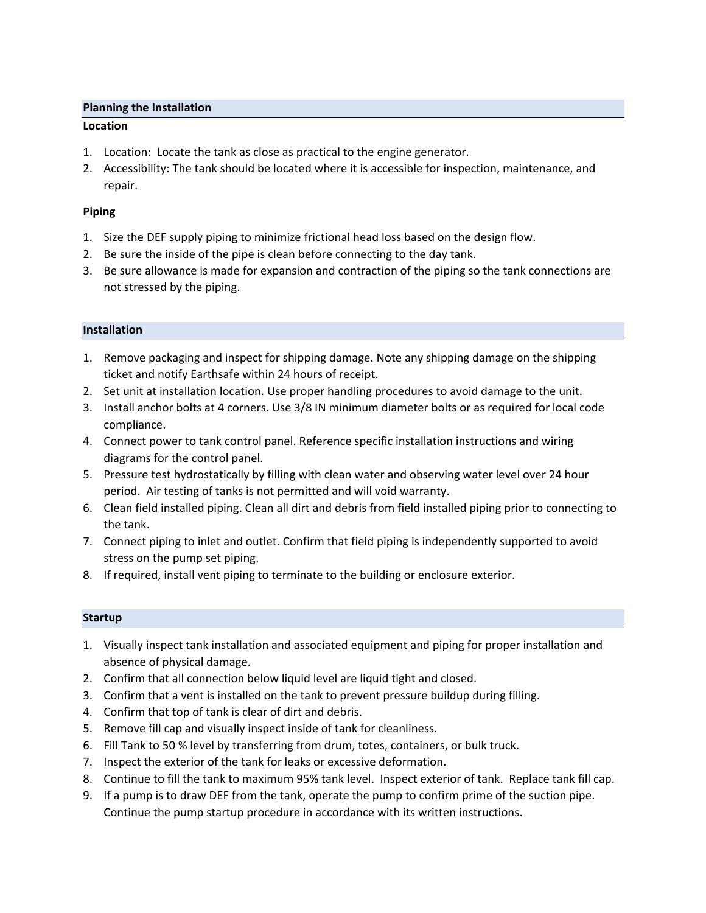## **Planning the Installation**

## **Location**

- 1. Location: Locate the tank as close as practical to the engine generator.
- 2. Accessibility: The tank should be located where it is accessible for inspection, maintenance, and repair.

## **Piping**

- 1. Size the DEF supply piping to minimize frictional head loss based on the design flow.
- 2. Be sure the inside of the pipe is clean before connecting to the day tank.
- 3. Be sure allowance is made for expansion and contraction of the piping so the tank connections are not stressed by the piping.

## **Installation**

- 1. Remove packaging and inspect for shipping damage. Note any shipping damage on the shipping ticket and notify Earthsafe within 24 hours of receipt.
- 2. Set unit at installation location. Use proper handling procedures to avoid damage to the unit.
- 3. Install anchor bolts at 4 corners. Use 3/8 IN minimum diameter bolts or as required for local code compliance.
- 4. Connect power to tank control panel. Reference specific installation instructions and wiring diagrams for the control panel.
- 5. Pressure test hydrostatically by filling with clean water and observing water level over 24 hour period. Air testing of tanks is not permitted and will void warranty.
- 6. Clean field installed piping. Clean all dirt and debris from field installed piping prior to connecting to the tank.
- 7. Connect piping to inlet and outlet. Confirm that field piping is independently supported to avoid stress on the pump set piping.
- 8. If required, install vent piping to terminate to the building or enclosure exterior.

## **Startup**

- 1. Visually inspect tank installation and associated equipment and piping for proper installation and absence of physical damage.
- 2. Confirm that all connection below liquid level are liquid tight and closed.
- 3. Confirm that a vent is installed on the tank to prevent pressure buildup during filling.
- 4. Confirm that top of tank is clear of dirt and debris.
- 5. Remove fill cap and visually inspect inside of tank for cleanliness.
- 6. Fill Tank to 50 % level by transferring from drum, totes, containers, or bulk truck.
- 7. Inspect the exterior of the tank for leaks or excessive deformation.
- 8. Continue to fill the tank to maximum 95% tank level. Inspect exterior of tank. Replace tank fill cap.
- 9. If a pump is to draw DEF from the tank, operate the pump to confirm prime of the suction pipe. Continue the pump startup procedure in accordance with its written instructions.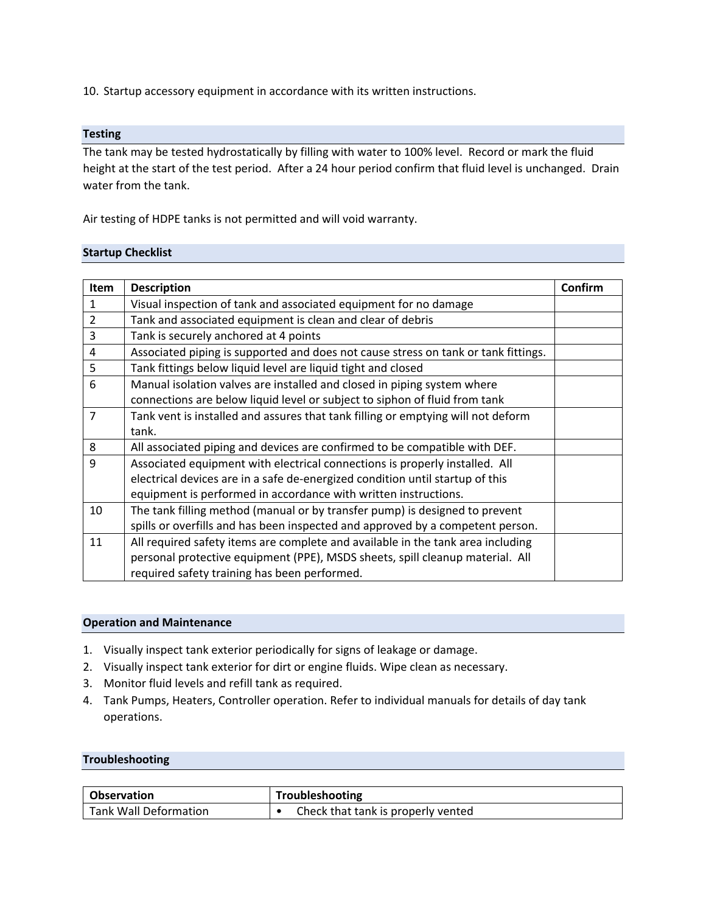10. Startup accessory equipment in accordance with its written instructions.

## **Testing**

The tank may be tested hydrostatically by filling with water to 100% level. Record or mark the fluid height at the start of the test period. After a 24 hour period confirm that fluid level is unchanged. Drain water from the tank.

Air testing of HDPE tanks is not permitted and will void warranty.

## **Startup Checklist**

| Item           | <b>Description</b>                                                                 | Confirm |
|----------------|------------------------------------------------------------------------------------|---------|
| $\mathbf{1}$   | Visual inspection of tank and associated equipment for no damage                   |         |
| $\overline{2}$ | Tank and associated equipment is clean and clear of debris                         |         |
| 3              | Tank is securely anchored at 4 points                                              |         |
| 4              | Associated piping is supported and does not cause stress on tank or tank fittings. |         |
| 5              | Tank fittings below liquid level are liquid tight and closed                       |         |
| 6              | Manual isolation valves are installed and closed in piping system where            |         |
|                | connections are below liquid level or subject to siphon of fluid from tank         |         |
| $\overline{7}$ | Tank vent is installed and assures that tank filling or emptying will not deform   |         |
|                | tank.                                                                              |         |
| 8              | All associated piping and devices are confirmed to be compatible with DEF.         |         |
| 9              | Associated equipment with electrical connections is properly installed. All        |         |
|                | electrical devices are in a safe de-energized condition until startup of this      |         |
|                | equipment is performed in accordance with written instructions.                    |         |
| 10             | The tank filling method (manual or by transfer pump) is designed to prevent        |         |
|                | spills or overfills and has been inspected and approved by a competent person.     |         |
| 11             | All required safety items are complete and available in the tank area including    |         |
|                | personal protective equipment (PPE), MSDS sheets, spill cleanup material. All      |         |
|                | required safety training has been performed.                                       |         |

#### **Operation and Maintenance**

- 1. Visually inspect tank exterior periodically for signs of leakage or damage.
- 2. Visually inspect tank exterior for dirt or engine fluids. Wipe clean as necessary.
- 3. Monitor fluid levels and refill tank as required.
- 4. Tank Pumps, Heaters, Controller operation. Refer to individual manuals for details of day tank operations.

#### **Troubleshooting**

| <b>Observation</b>    | Troubleshooting                    |
|-----------------------|------------------------------------|
| Tank Wall Deformation | Check that tank is properly vented |